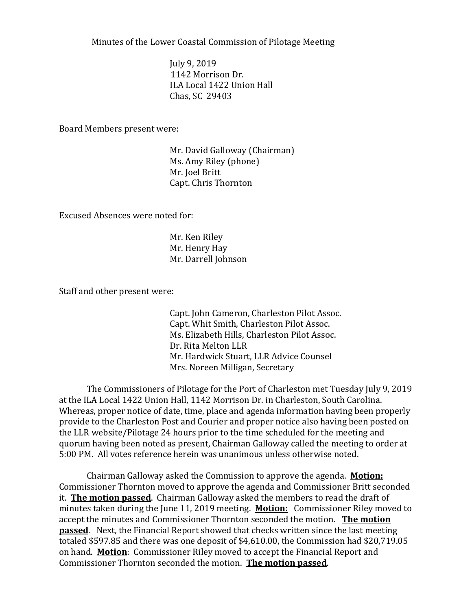Minutes of the Lower Coastal Commission of Pilotage Meeting

July 9, 2019 1142 Morrison Dr. ILA Local 1422 Union Hall Chas, SC 29403

Board Members present were:

Mr. David Galloway (Chairman) Ms. Amy Riley (phone) Mr. Joel Britt Capt. Chris Thornton

Excused Absences were noted for:

Mr. Ken Riley Mr. Henry Hay Mr. Darrell Johnson

Staff and other present were:

Capt. John Cameron, Charleston Pilot Assoc. Capt. Whit Smith, Charleston Pilot Assoc. Ms. Elizabeth Hills, Charleston Pilot Assoc. Dr. Rita Melton LLR Mr. Hardwick Stuart, LLR Advice Counsel Mrs. Noreen Milligan, Secretary

The Commissioners of Pilotage for the Port of Charleston met Tuesday July 9, 2019 at the ILA Local 1422 Union Hall, 1142 Morrison Dr. in Charleston, South Carolina. Whereas, proper notice of date, time, place and agenda information having been properly provide to the Charleston Post and Courier and proper notice also having been posted on the LLR website/Pilotage 24 hours prior to the time scheduled for the meeting and quorum having been noted as present, Chairman Galloway called the meeting to order at 5:00 PM. All votes reference herein was unanimous unless otherwise noted.

Chairman Galloway asked the Commission to approve the agenda. **Motion:** Commissioner Thornton moved to approve the agenda and Commissioner Britt seconded it. **The motion passed**. Chairman Galloway asked the members to read the draft of minutes taken during the June 11, 2019 meeting. **Motion:** Commissioner Riley moved to accept the minutes and Commissioner Thornton seconded the motion. **The motion passed**. Next, the Financial Report showed that checks written since the last meeting totaled \$597.85 and there was one deposit of \$4,610.00, the Commission had \$20,719.05 on hand. **Motion**: Commissioner Riley moved to accept the Financial Report and Commissioner Thornton seconded the motion. **The motion passed**.